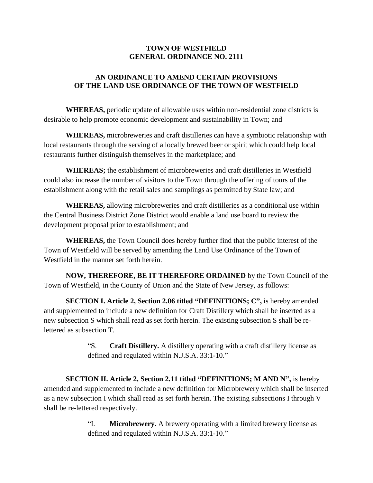## **TOWN OF WESTFIELD GENERAL ORDINANCE NO. 2111**

## **AN ORDINANCE TO AMEND CERTAIN PROVISIONS OF THE LAND USE ORDINANCE OF THE TOWN OF WESTFIELD**

**WHEREAS,** periodic update of allowable uses within non-residential zone districts is desirable to help promote economic development and sustainability in Town; and

**WHEREAS,** microbreweries and craft distilleries can have a symbiotic relationship with local restaurants through the serving of a locally brewed beer or spirit which could help local restaurants further distinguish themselves in the marketplace; and

**WHEREAS;** the establishment of microbreweries and craft distilleries in Westfield could also increase the number of visitors to the Town through the offering of tours of the establishment along with the retail sales and samplings as permitted by State law; and

**WHEREAS,** allowing microbreweries and craft distilleries as a conditional use within the Central Business District Zone District would enable a land use board to review the development proposal prior to establishment; and

**WHEREAS,** the Town Council does hereby further find that the public interest of the Town of Westfield will be served by amending the Land Use Ordinance of the Town of Westfield in the manner set forth herein.

**NOW, THEREFORE, BE IT THEREFORE ORDAINED** by the Town Council of the Town of Westfield, in the County of Union and the State of New Jersey, as follows:

**SECTION I. Article 2, Section 2.06 titled "DEFINITIONS; C",** is hereby amended and supplemented to include a new definition for Craft Distillery which shall be inserted as a new subsection S which shall read as set forth herein. The existing subsection S shall be relettered as subsection T.

> "S. **Craft Distillery.** A distillery operating with a craft distillery license as defined and regulated within N.J.S.A. 33:1-10."

**SECTION II. Article 2, Section 2.11 titled "DEFINITIONS; M AND N",** is hereby amended and supplemented to include a new definition for Microbrewery which shall be inserted as a new subsection I which shall read as set forth herein. The existing subsections I through V shall be re-lettered respectively.

> "I. **Microbrewery.** A brewery operating with a limited brewery license as defined and regulated within N.J.S.A. 33:1-10."